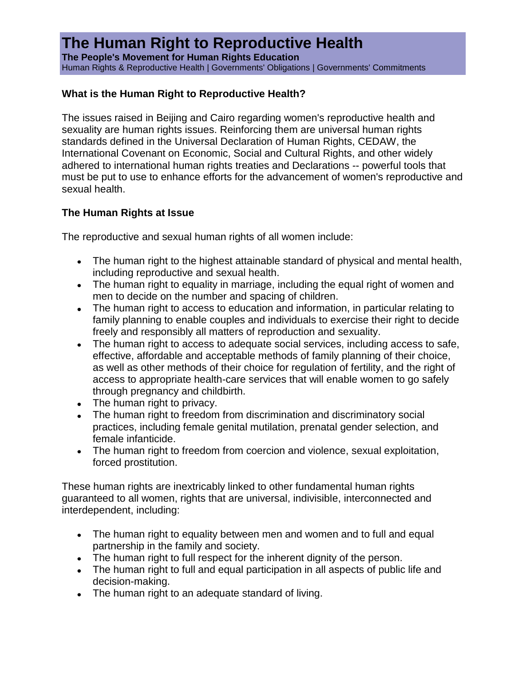## **The Human Right to Reproductive Health**

**The People's Movement for Human Rights Education** Human Rights & Reproductive Health | [Governments' Obligations](http://www.pdhre.org/rights/reproductive_health.html#obligations) | [Governments' Commitments](http://www.pdhre.org/rights/reproductive_health.html#commitments)

### **What is the Human Right to Reproductive Health?**

The issues raised in Beijing and Cairo regarding women's reproductive health and sexuality are human rights issues. Reinforcing them are universal human rights standards defined in the Universal Declaration of Human Rights, CEDAW, the International Covenant on Economic, Social and Cultural Rights, and other widely adhered to international human rights treaties and Declarations -- powerful tools that must be put to use to enhance efforts for the advancement of women's reproductive and sexual health.

### **The Human Rights at Issue**

The reproductive and sexual human rights of all women include:

- The human right to the highest attainable standard of physical and mental health, including reproductive and sexual health.
- The human right to equality in marriage, including the equal right of women and men to decide on the number and spacing of children.
- The human right to access to education and information, in particular relating to family planning to enable couples and individuals to exercise their right to decide freely and responsibly all matters of reproduction and sexuality.
- The human right to access to adequate social services, including access to safe, effective, affordable and acceptable methods of family planning of their choice, as well as other methods of their choice for regulation of fertility, and the right of access to appropriate health-care services that will enable women to go safely through pregnancy and childbirth.
- The human right to privacy.
- The human right to freedom from discrimination and discriminatory social practices, including female genital mutilation, prenatal gender selection, and female infanticide.
- The human right to freedom from coercion and violence, sexual exploitation, forced prostitution.

These human rights are inextricably linked to other fundamental human rights guaranteed to all women, rights that are universal, indivisible, interconnected and interdependent, including:

- The human right to equality between men and women and to full and equal partnership in the family and society.
- The human right to full respect for the inherent dignity of the person.
- The human right to full and equal participation in all aspects of public life and decision-making.
- The human right to an adequate standard of living.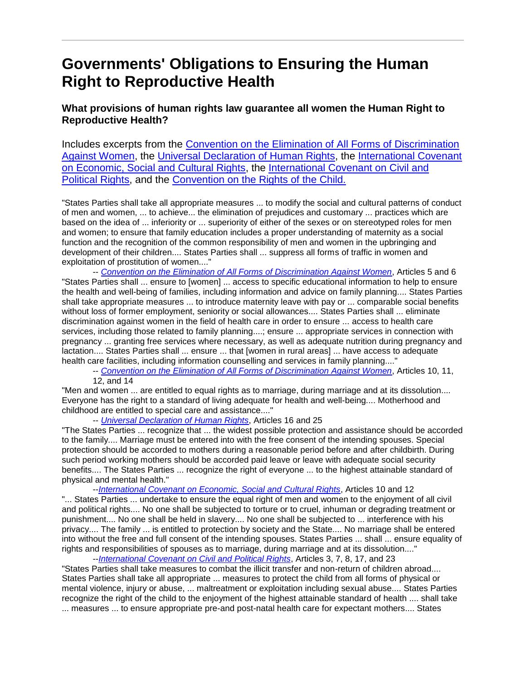# **Governments' Obligations to Ensuring the Human Right to Reproductive Health**

### **What provisions of human rights law guarantee all women the Human Right to Reproductive Health?**

Includes excerpts from the [Convention on the Elimination of All Forms of Discrimination](http://www.unhchr.ch/html/menu3/b/e1cedaw.htm)  [Against Women,](http://www.unhchr.ch/html/menu3/b/e1cedaw.htm) the [Universal Declaration of Human Rights,](http://www.unhchr.ch/udhr/lang/eng.htm) the [International Covenant](http://www.unhchr.ch/html/menu3/b/a_cescr.htm)  [on Economic, Social and Cultural Rights,](http://www.unhchr.ch/html/menu3/b/a_cescr.htm) the [International Covenant on Civil and](http://www.unhchr.ch/html/menu3/b/a_ccpr.htm)  [Political Rights,](http://www.unhchr.ch/html/menu3/b/a_ccpr.htm) and the [Convention on the Rights of the Child.](http://www.unhchr.ch/html/menu3/b/k2crc.htm)

"States Parties shall take all appropriate measures ... to modify the social and cultural patterns of conduct of men and women, ... to achieve... the elimination of prejudices and customary ... practices which are based on the idea of ... inferiority or ... superiority of either of the sexes or on stereotyped roles for men and women; to ensure that family education includes a proper understanding of maternity as a social function and the recognition of the common responsibility of men and women in the upbringing and development of their children.... States Parties shall ... suppress all forms of traffic in women and exploitation of prostitution of women...."

-- *[Convention on the Elimination of All Forms of Discrimination Against Women](http://www.unhchr.ch/html/menu3/b/e1cedaw.htm)*, Articles 5 and 6 "States Parties shall ... ensure to [women] ... access to specific educational information to help to ensure the health and well-being of families, including information and advice on family planning.... States Parties shall take appropriate measures ... to introduce maternity leave with pay or ... comparable social benefits without loss of former employment, seniority or social allowances.... States Parties shall ... eliminate discrimination against women in the field of health care in order to ensure ... access to health care services, including those related to family planning....; ensure ... appropriate services in connection with pregnancy ... granting free services where necessary, as well as adequate nutrition during pregnancy and lactation.... States Parties shall ... ensure ... that [women in rural areas] ... have access to adequate health care facilities, including information counselling and services in family planning...."

-- *[Convention on the Elimination of All Forms of Discrimination Against Women](http://www.unhchr.ch/html/menu3/b/e1cedaw.htm)*, Articles 10, 11, 12, and 14

"Men and women ... are entitled to equal rights as to marriage, during marriage and at its dissolution.... Everyone has the right to a standard of living adequate for health and well-being.... Motherhood and childhood are entitled to special care and assistance...."

-- *[Universal Declaration of Human Rights](http://www.unhchr.ch/udhr/lang/eng.htm)*, Articles 16 and 25

"The States Parties ... recognize that ... the widest possible protection and assistance should be accorded to the family.... Marriage must be entered into with the free consent of the intending spouses. Special protection should be accorded to mothers during a reasonable period before and after childbirth. During such period working mothers should be accorded paid leave or leave with adequate social security benefits.... The States Parties ... recognize the right of everyone ... to the highest attainable standard of physical and mental health."

--*[International Covenant on Economic, Social and Cultural Rights](http://www.unhchr.ch/html/menu3/b/a_cescr.htm)*, Articles 10 and 12 "... States Parties ... undertake to ensure the equal right of men and women to the enjoyment of all civil and political rights.... No one shall be subjected to torture or to cruel, inhuman or degrading treatment or punishment.... No one shall be held in slavery.... No one shall be subjected to ... interference with his privacy.... The family ... is entitled to protection by society and the State.... No marriage shall be entered into without the free and full consent of the intending spouses. States Parties ... shall ... ensure equality of rights and responsibilities of spouses as to marriage, during marriage and at its dissolution...."

--*[International Covenant on Civil and Political Rights](http://www.unhchr.ch/html/menu3/b/a_cescr.htm)*, Articles 3, 7, 8, 17, and 23 "States Parties shall take measures to combat the illicit transfer and non-return of children abroad.... States Parties shall take all appropriate ... measures to protect the child from all forms of physical or mental violence, injury or abuse, ... maltreatment or exploitation including sexual abuse.... States Parties recognize the right of the child to the enjoyment of the highest attainable standard of health .... shall take ... measures ... to ensure appropriate pre-and post-natal health care for expectant mothers.... States